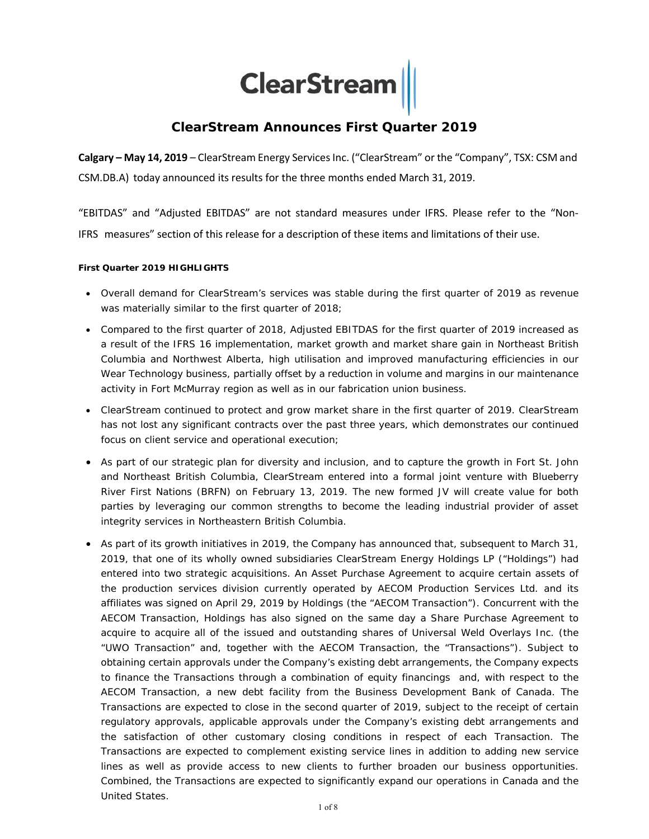**ClearStream** 

# **ClearStream Announces First Quarter 2019**

**Calgary – May 14, 2019** – ClearStream Energy Services Inc. ("ClearStream" or the "Company", TSX: CSM and CSM.DB.A) today announced its results for the three months ended March 31, 2019.

"EBITDAS" and "Adjusted EBITDAS" are not standard measures under IFRS. Please refer to the "Non‐ IFRS measures" section of this release for a description of these items and limitations of their use.

### **First Quarter 2019 HIGHLIGHTS**

- Overall demand for ClearStream's services was stable during the first quarter of 2019 as revenue was materially similar to the first quarter of 2018;
- Compared to the first quarter of 2018, Adjusted EBITDAS for the first quarter of 2019 increased as a result of the IFRS 16 implementation, market growth and market share gain in Northeast British Columbia and Northwest Alberta, high utilisation and improved manufacturing efficiencies in our Wear Technology business, partially offset by a reduction in volume and margins in our maintenance activity in Fort McMurray region as well as in our fabrication union business.
- ClearStream continued to protect and grow market share in the first quarter of 2019. ClearStream has not lost any significant contracts over the past three years, which demonstrates our continued focus on client service and operational execution;
- As part of our strategic plan for diversity and inclusion, and to capture the growth in Fort St. John and Northeast British Columbia, ClearStream entered into a formal joint venture with Blueberry River First Nations (BRFN) on February 13, 2019. The new formed JV will create value for both parties by leveraging our common strengths to become the leading industrial provider of asset integrity services in Northeastern British Columbia.
- As part of its growth initiatives in 2019, the Company has announced that, subsequent to March 31, 2019, that one of its wholly owned subsidiaries ClearStream Energy Holdings LP ("Holdings") had entered into two strategic acquisitions. An Asset Purchase Agreement to acquire certain assets of the production services division currently operated by AECOM Production Services Ltd. and its affiliates was signed on April 29, 2019 by Holdings (the "AECOM Transaction"). Concurrent with the AECOM Transaction, Holdings has also signed on the same day a Share Purchase Agreement to acquire to acquire all of the issued and outstanding shares of Universal Weld Overlays Inc. (the "UWO Transaction" and, together with the AECOM Transaction, the "Transactions"). Subject to obtaining certain approvals under the Company's existing debt arrangements, the Company expects to finance the Transactions through a combination of equity financings and, with respect to the AECOM Transaction, a new debt facility from the Business Development Bank of Canada. The Transactions are expected to close in the second quarter of 2019, subject to the receipt of certain regulatory approvals, applicable approvals under the Company's existing debt arrangements and the satisfaction of other customary closing conditions in respect of each Transaction. The Transactions are expected to complement existing service lines in addition to adding new service lines as well as provide access to new clients to further broaden our business opportunities. Combined, the Transactions are expected to significantly expand our operations in Canada and the United States.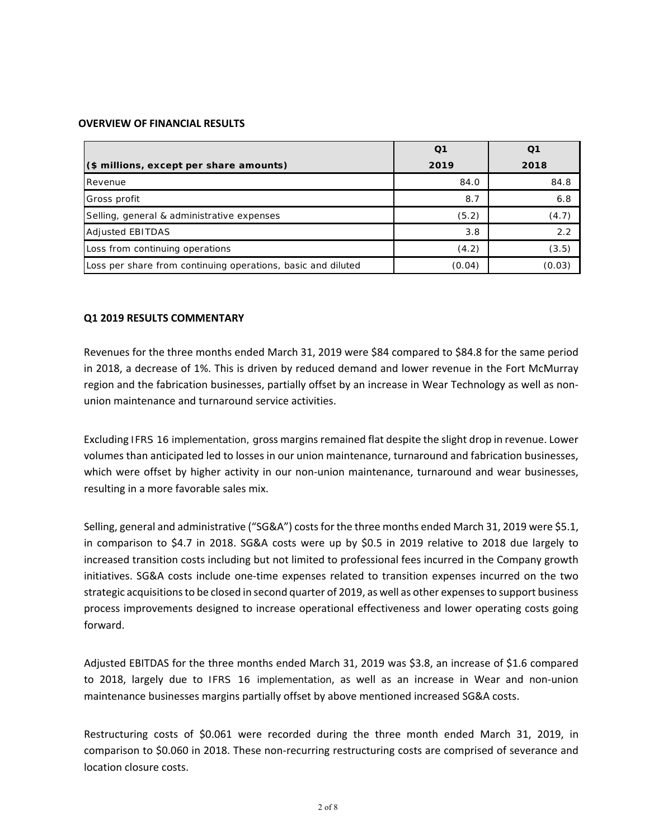### **OVERVIEW OF FINANCIAL RESULTS**

|                                                              | Q1     |        |
|--------------------------------------------------------------|--------|--------|
| (\$ millions, except per share amounts)                      | 2019   | 2018   |
| Revenue                                                      | 84.0   | 84.8   |
| Gross profit                                                 | 8.7    | 6.8    |
| Selling, general & administrative expenses                   | (5.2)  | (4.7)  |
| <b>Adjusted EBITDAS</b>                                      | 3.8    | 2.2    |
| Loss from continuing operations                              | (4.2)  | (3.5)  |
| Loss per share from continuing operations, basic and diluted | (0.04) | (0.03) |

## **Q1 2019 RESULTS COMMENTARY**

Revenues for the three months ended March 31, 2019 were \$84 compared to \$84.8 for the same period in 2018, a decrease of 1%. This is driven by reduced demand and lower revenue in the Fort McMurray region and the fabrication businesses, partially offset by an increase in Wear Technology as well as non‐ union maintenance and turnaround service activities.

Excluding IFRS 16 implementation, gross margins remained flat despite the slight drop in revenue. Lower volumes than anticipated led to losses in our union maintenance, turnaround and fabrication businesses, which were offset by higher activity in our non-union maintenance, turnaround and wear businesses, resulting in a more favorable sales mix.

Selling, general and administrative ("SG&A") costs for the three months ended March 31, 2019 were \$5.1, in comparison to \$4.7 in 2018. SG&A costs were up by \$0.5 in 2019 relative to 2018 due largely to increased transition costs including but not limited to professional fees incurred in the Company growth initiatives. SG&A costs include one-time expenses related to transition expenses incurred on the two strategic acquisitions to be closed in second quarter of 2019, as well as other expenses to support business process improvements designed to increase operational effectiveness and lower operating costs going forward.

Adjusted EBITDAS for the three months ended March 31, 2019 was \$3.8, an increase of \$1.6 compared to 2018, largely due to IFRS 16 implementation, as well as an increase in Wear and non-union maintenance businesses margins partially offset by above mentioned increased SG&A costs.

Restructuring costs of \$0.061 were recorded during the three month ended March 31, 2019, in comparison to \$0.060 in 2018. These non-recurring restructuring costs are comprised of severance and location closure costs.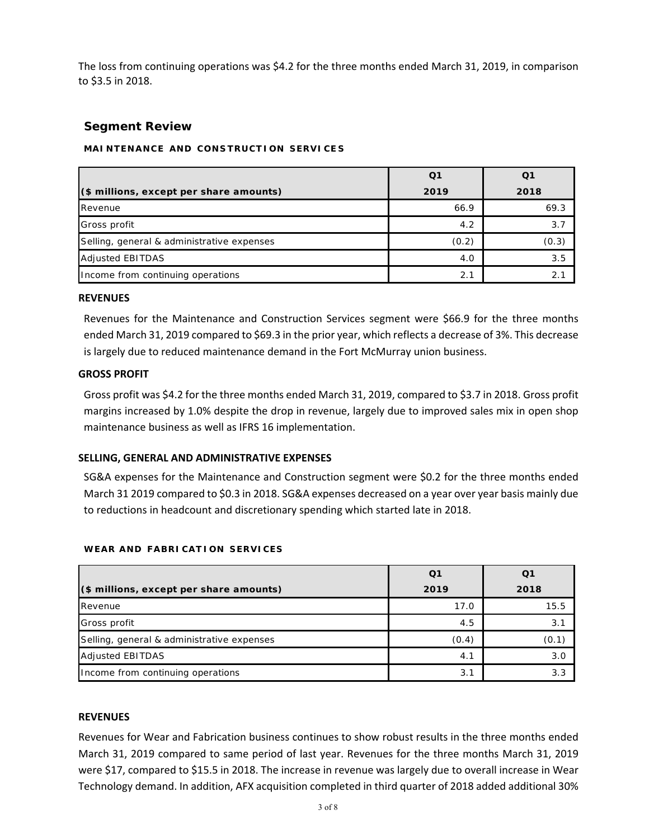The loss from continuing operations was \$4.2 for the three months ended March 31, 2019, in comparison to \$3.5 in 2018.

## **Segment Review**

## **MAINTENANCE AND CONSTRUCTION SERVICES**

| (\$ millions, except per share amounts)    | 2019  | 2018  |
|--------------------------------------------|-------|-------|
| Revenue                                    | 66.9  | 69.3  |
| Gross profit                               | 4.2   | 3.7   |
| Selling, general & administrative expenses | (0.2) | (0.3) |
| <b>Adjusted EBITDAS</b>                    | 4.0   | 3.5   |
| Income from continuing operations          | 2.1   |       |

### **REVENUES**

Revenues for the Maintenance and Construction Services segment were \$66.9 for the three months ended March 31, 2019 compared to \$69.3 in the prior year, which reflects a decrease of 3%. This decrease is largely due to reduced maintenance demand in the Fort McMurray union business.

## **GROSS PROFIT**

Gross profit was \$4.2 for the three months ended March 31, 2019, compared to \$3.7 in 2018. Gross profit margins increased by 1.0% despite the drop in revenue, largely due to improved sales mix in open shop maintenance business as well as IFRS 16 implementation.

## **SELLING, GENERAL AND ADMINISTRATIVE EXPENSES**

SG&A expenses for the Maintenance and Construction segment were \$0.2 for the three months ended March 31 2019 compared to \$0.3 in 2018. SG&A expenses decreased on a year over year basis mainly due to reductions in headcount and discretionary spending which started late in 2018.

|                                            | Ο1    | Ο1    |
|--------------------------------------------|-------|-------|
| (\$ millions, except per share amounts)    | 2019  | 2018  |
| Revenue                                    | 17.0  | 15.5  |
| Gross profit                               | 4.5   | 3.1   |
| Selling, general & administrative expenses | (0.4) | (0.1) |
| <b>Adjusted EBITDAS</b>                    | 4.1   | 3.0   |
| Income from continuing operations          | 3.1   | 3.3   |

## **W EAR AND F ABRI CAT I ON S ERVICES**

## **REVENUES**

Revenues for Wear and Fabrication business continues to show robust results in the three months ended March 31, 2019 compared to same period of last year. Revenues for the three months March 31, 2019 were \$17, compared to \$15.5 in 2018. The increase in revenue was largely due to overall increase in Wear Technology demand. In addition, AFX acquisition completed in third quarter of 2018 added additional 30%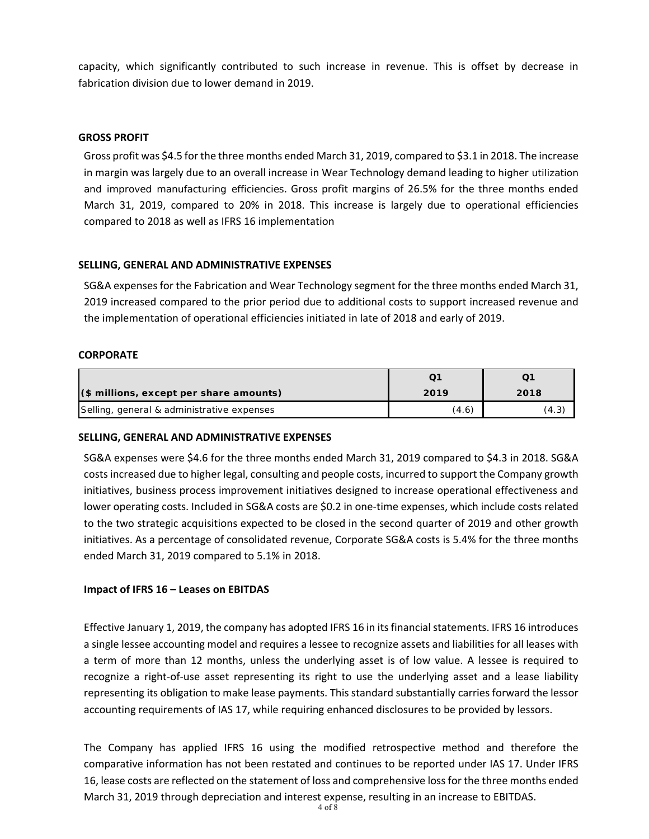capacity, which significantly contributed to such increase in revenue. This is offset by decrease in fabrication division due to lower demand in 2019.

## **GROSS PROFIT**

Gross profit was \$4.5 for the three months ended March 31, 2019, compared to \$3.1 in 2018. The increase in margin was largely due to an overall increase in Wear Technology demand leading to higher utilization and improved manufacturing efficiencies. Gross profit margins of 26.5% for the three months ended March 31, 2019, compared to 20% in 2018. This increase is largely due to operational efficiencies compared to 2018 as well as IFRS 16 implementation

## **SELLING, GENERAL AND ADMINISTRATIVE EXPENSES**

SG&A expenses for the Fabrication and Wear Technology segment for the three months ended March 31, 2019 increased compared to the prior period due to additional costs to support increased revenue and the implementation of operational efficiencies initiated in late of 2018 and early of 2019.

## **CORPORATE**

| (\$ millions, except per share amounts)    | 2019  | 2018  |
|--------------------------------------------|-------|-------|
| Selling, general & administrative expenses | (4.6) | (4.3) |

## **SELLING, GENERAL AND ADMINISTRATIVE EXPENSES**

SG&A expenses were \$4.6 for the three months ended March 31, 2019 compared to \$4.3 in 2018. SG&A costs increased due to higher legal, consulting and people costs, incurred to support the Company growth initiatives, business process improvement initiatives designed to increase operational effectiveness and lower operating costs. Included in SG&A costs are \$0.2 in one-time expenses, which include costs related to the two strategic acquisitions expected to be closed in the second quarter of 2019 and other growth initiatives. As a percentage of consolidated revenue, Corporate SG&A costs is 5.4% for the three months ended March 31, 2019 compared to 5.1% in 2018.

## **Impact of IFRS 16 – Leases on EBITDAS**

Effective January 1, 2019, the company has adopted IFRS 16 in its financial statements. IFRS 16 introduces a single lessee accounting model and requires a lessee to recognize assets and liabilities for all leases with a term of more than 12 months, unless the underlying asset is of low value. A lessee is required to recognize a right-of-use asset representing its right to use the underlying asset and a lease liability representing its obligation to make lease payments. This standard substantially carries forward the lessor accounting requirements of IAS 17, while requiring enhanced disclosures to be provided by lessors.

The Company has applied IFRS 16 using the modified retrospective method and therefore the comparative information has not been restated and continues to be reported under IAS 17. Under IFRS 16, lease costs are reflected on the statement of loss and comprehensive loss for the three months ended March 31, 2019 through depreciation and interest expense, resulting in an increase to EBITDAS.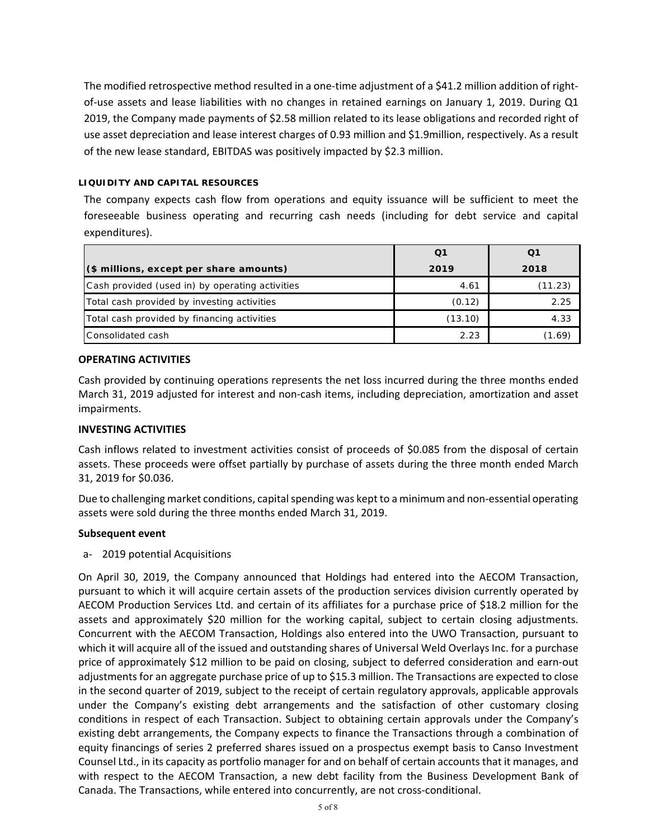The modified retrospective method resulted in a one-time adjustment of a \$41.2 million addition of rightof-use assets and lease liabilities with no changes in retained earnings on January 1, 2019. During Q1 2019, the Company made payments of \$2.58 million related to its lease obligations and recorded right of use asset depreciation and lease interest charges of 0.93 million and \$1.9million, respectively. As a result of the new lease standard, EBITDAS was positively impacted by \$2.3 million.

## **LIQUIDITY AND CAPITAL RESOURCES**

The company expects cash flow from operations and equity issuance will be sufficient to meet the foreseeable business operating and recurring cash needs (including for debt service and capital expenditures).

|                                                 | Q1      |         |
|-------------------------------------------------|---------|---------|
| (\$ millions, except per share amounts)         | 2019    | 2018    |
| Cash provided (used in) by operating activities | 4.61    | (11.23) |
| Total cash provided by investing activities     | (0.12)  | 2.25    |
| Total cash provided by financing activities     | (13.10) | 4.33    |
| Consolidated cash                               | 2.23    | (1.69)  |

## **OPERATING ACTIVITIES**

Cash provided by continuing operations represents the net loss incurred during the three months ended March 31, 2019 adjusted for interest and non-cash items, including depreciation, amortization and asset impairments.

### **INVESTING ACTIVITIES**

Cash inflows related to investment activities consist of proceeds of \$0.085 from the disposal of certain assets. These proceeds were offset partially by purchase of assets during the three month ended March 31, 2019 for \$0.036.

Due to challenging market conditions, capital spending was kept to a minimum and non‐essential operating assets were sold during the three months ended March 31, 2019.

### **Subsequent event**

a‐ 2019 potential Acquisitions

On April 30, 2019, the Company announced that Holdings had entered into the AECOM Transaction, pursuant to which it will acquire certain assets of the production services division currently operated by AECOM Production Services Ltd. and certain of its affiliates for a purchase price of \$18.2 million for the assets and approximately \$20 million for the working capital, subject to certain closing adjustments. Concurrent with the AECOM Transaction, Holdings also entered into the UWO Transaction, pursuant to which it will acquire all of the issued and outstanding shares of Universal Weld Overlays Inc. for a purchase price of approximately \$12 million to be paid on closing, subject to deferred consideration and earn‐out adjustments for an aggregate purchase price of up to \$15.3 million. The Transactions are expected to close in the second quarter of 2019, subject to the receipt of certain regulatory approvals, applicable approvals under the Company's existing debt arrangements and the satisfaction of other customary closing conditions in respect of each Transaction. Subject to obtaining certain approvals under the Company's existing debt arrangements, the Company expects to finance the Transactions through a combination of equity financings of series 2 preferred shares issued on a prospectus exempt basis to Canso Investment Counsel Ltd., in its capacity as portfolio manager for and on behalf of certain accounts that it manages, and with respect to the AECOM Transaction, a new debt facility from the Business Development Bank of Canada. The Transactions, while entered into concurrently, are not cross‐conditional.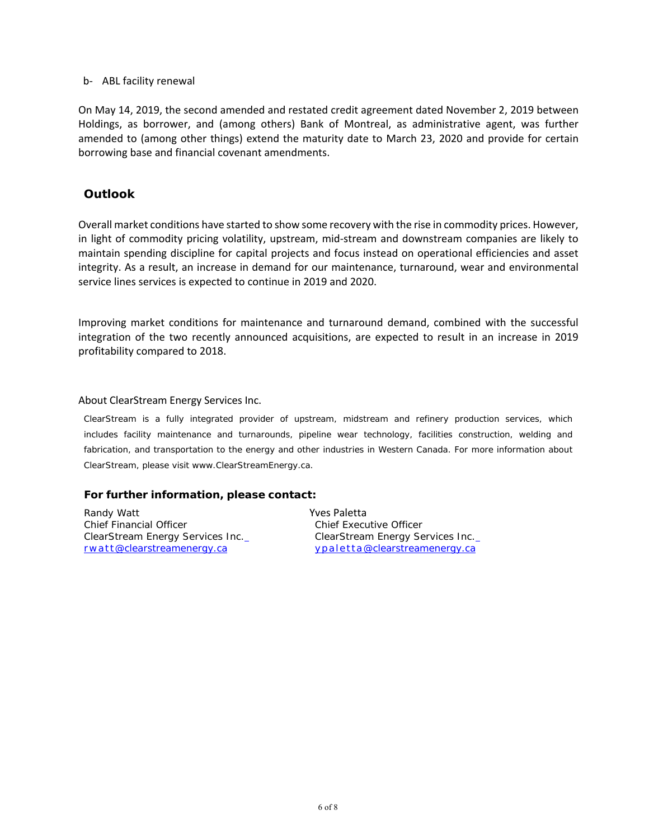## b‐ ABL facility renewal

On May 14, 2019, the second amended and restated credit agreement dated November 2, 2019 between Holdings, as borrower, and (among others) Bank of Montreal, as administrative agent, was further amended to (among other things) extend the maturity date to March 23, 2020 and provide for certain borrowing base and financial covenant amendments.

## **Outlook**

Overall market conditions have started to show some recovery with the rise in commodity prices. However, in light of commodity pricing volatility, upstream, mid-stream and downstream companies are likely to maintain spending discipline for capital projects and focus instead on operational efficiencies and asset integrity. As a result, an increase in demand for our maintenance, turnaround, wear and environmental service lines services is expected to continue in 2019 and 2020.

Improving market conditions for maintenance and turnaround demand, combined with the successful integration of the two recently announced acquisitions, are expected to result in an increase in 2019 profitability compared to 2018.

### About ClearStream Energy Services Inc.

ClearStream is a fully integrated provider of upstream, midstream and refinery production services, which includes facility maintenance and turnarounds, pipeline wear technology, facilities construction, welding and fabrication, and transportation to the energy and other industries in Western Canada. For more information about ClearStream, please visit www.ClearStreamEnergy.ca.

## **For further information, please contact:**

Randy Watt Chief Financial Officer ClearStream Energy Services Inc. rwatt@clearstreamenergy.ca

Yves Paletta Chief Executive Officer ClearStream Energy Services Inc. y p al e t t a@clearstreamenergy.ca